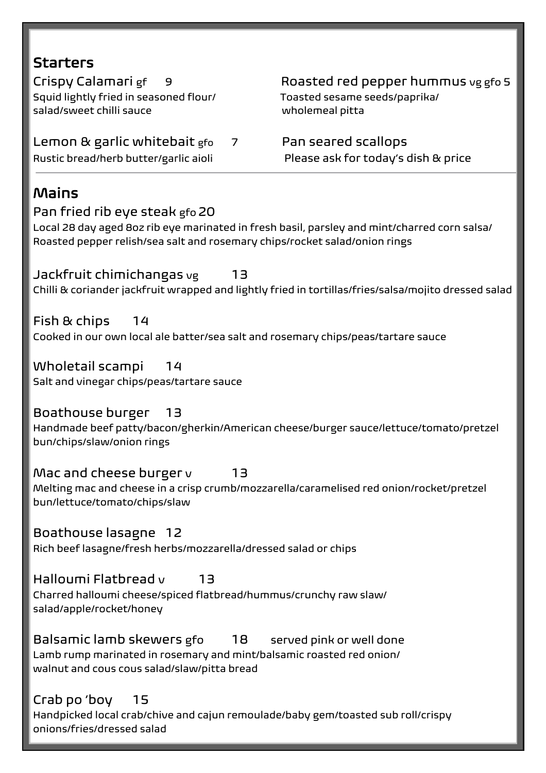| <b>Starters</b>                                                                                                                                           |                                                                                                      |
|-----------------------------------------------------------------------------------------------------------------------------------------------------------|------------------------------------------------------------------------------------------------------|
| Crispy Calamari gf<br>- 9<br>Squid lightly fried in seasoned flour/<br>salad/sweet chilli sauce                                                           | Roasted red pepper hummus vg gfo 5<br>Toasted sesame seeds/paprika/<br>wholemeal pitta               |
| Lemon & garlic whitebait gfo<br>$\overline{7}$<br>Rustic bread/herb butter/garlic aioli                                                                   | Pan seared scallops<br>Please ask for today's dish & price                                           |
| Mains<br>Pan fried rib eye steak gfo 20<br>Local 28 day aged 8oz rib eye marinated in fresh basil, parsley and mint/charred corn salsa/                   |                                                                                                      |
| Roasted pepper relish/sea salt and rosemary chips/rocket salad/onion rings<br>Jackfruit chimichangas <sub>vg</sub><br>13                                  | Chilli & coriander jackfruit wrapped and lightly fried in tortillas/fries/salsa/mojito dressed salad |
| Fish & chips<br>14<br>Cooked in our own local ale batter/sea salt and rosemary chips/peas/tartare sauce                                                   |                                                                                                      |
| Wholetail scampi<br>- 14<br>Salt and vinegar chips/peas/tartare sauce                                                                                     |                                                                                                      |
| Boathouse burger<br>- 13<br>Handmade beef patty/bacon/gherkin/American cheese/burger sauce/lettuce/tomato/pretzel<br>bun/chips/slaw/onion rings           |                                                                                                      |
| Mac and cheese burger v<br>13<br>Melting mac and cheese in a crisp crumb/mozzarella/caramelised red onion/rocket/pretzel<br>bun/lettuce/tomato/chips/slaw |                                                                                                      |
| Boathouse lasagne 12<br>Rich beef lasagne/fresh herbs/mozzarella/dressed salad or chips                                                                   |                                                                                                      |
| Halloumi Flatbread v<br>13<br>Charred halloumi cheese/spiced flatbread/hummus/crunchy raw slaw/<br>salad/apple/rocket/honey                               |                                                                                                      |
| Balsamic lamb skewers gfo<br>18                                                                                                                           | served pink or well done                                                                             |

Lamb rump marinated in rosemary and mint/balsamic roasted red onion/ walnut and cous cous salad/slaw/pitta bread

# Crab po 'boy 15

Handpicked local crab/chive and cajun remoulade/baby gem/toasted sub roll/crispy onions/fries/dressed salad